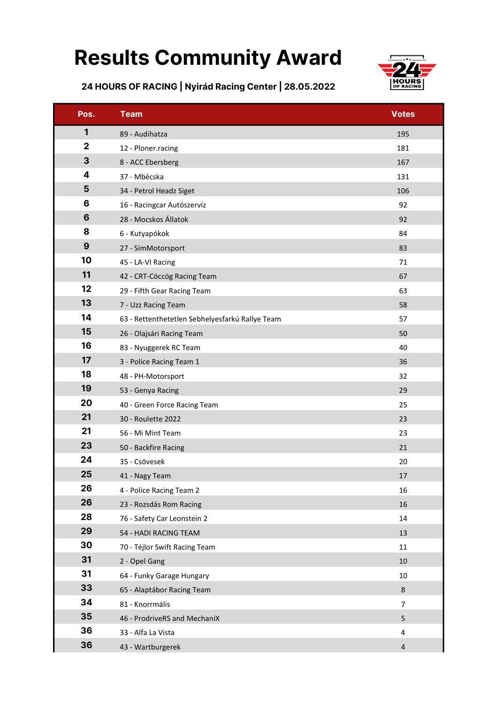## Results Community Award



24 HOURS OF RACING | Nyirád Racing Center | 28.05.2022

| Pos.            | <b>Team</b>                                     | <b>Votes</b>   |
|-----------------|-------------------------------------------------|----------------|
| 1               | 89 - Audihatza                                  | 195            |
| $\mathbf{2}$    | 12 - Ploner.racing                              | 181            |
| 3               | 8 - ACC Ebersberg                               | 167            |
| 4               | 37 - Mbécska                                    | 131            |
| 5               | 34 - Petrol Headz Siget                         | 106            |
| 6               | 16 - Racingcar Autószervíz                      | 92             |
| $6\phantom{1}6$ | 28 - Mocskos Állatok                            | 92             |
| 8               | 6 - Kutyapókok                                  | 84             |
| 9               | 27 - SimMotorsport                              | 83             |
| 10              | 45 - LA-VI Racing                               | 71             |
| 11              | 42 - CRT-Cöccög Racing Team                     | 67             |
| 12              | 29 - Fifth Gear Racing Team                     | 63             |
| 13              | 7 - Uzz Racing Team                             | 58             |
| 14              | 63 - Rettenthetetlen Sebhelyesfarkú Rallye Team | 57             |
| 15              | 26 - Olajsári Racing Team                       | 50             |
| 16              | 83 - Nyuggerek RC Team                          | 40             |
| 17              | 3 - Police Racing Team 1                        | 36             |
| 18              | 48 - PH-Motorsport                              | 32             |
| 19              | 53 - Genya Racing                               | 29             |
| 20              | 40 - Green Force Racing Team                    | 25             |
| 21              | 30 - Roulette 2022                              | 23             |
| 21              | 56 - Mi Mint Team                               | 23             |
| 23              | 50 - Backfire Racing                            | 21             |
| 24              | 35 - Csövesek                                   | 20             |
| 25              | 41 - Nagy Team                                  | 17             |
| 26              | 4 - Police Racing Team 2                        | 16             |
| 26              | 23 - Rozsdás Rom Racing                         | 16             |
| 28              | 76 - Safety Car Leonstein 2                     | 14             |
| 29              | 54 - HADI RACING TEAM                           | 13             |
| 30              | 70 - Téjlor Swift Racing Team                   | 11             |
| 31              | 2 - Opel Gang                                   | 10             |
| 31              | 64 - Funky Garage Hungary                       | 10             |
| 33              | 65 - Alaptábor Racing Team                      | 8              |
| 34              | 81 - Knorrmális                                 | $\overline{7}$ |
| 35              | 46 - ProdriveRS and MechaniX                    | 5              |
| 36              | 33 - Alfa La Vista                              | 4              |
| 36              | 43 - Wartburgerek                               | $\overline{4}$ |